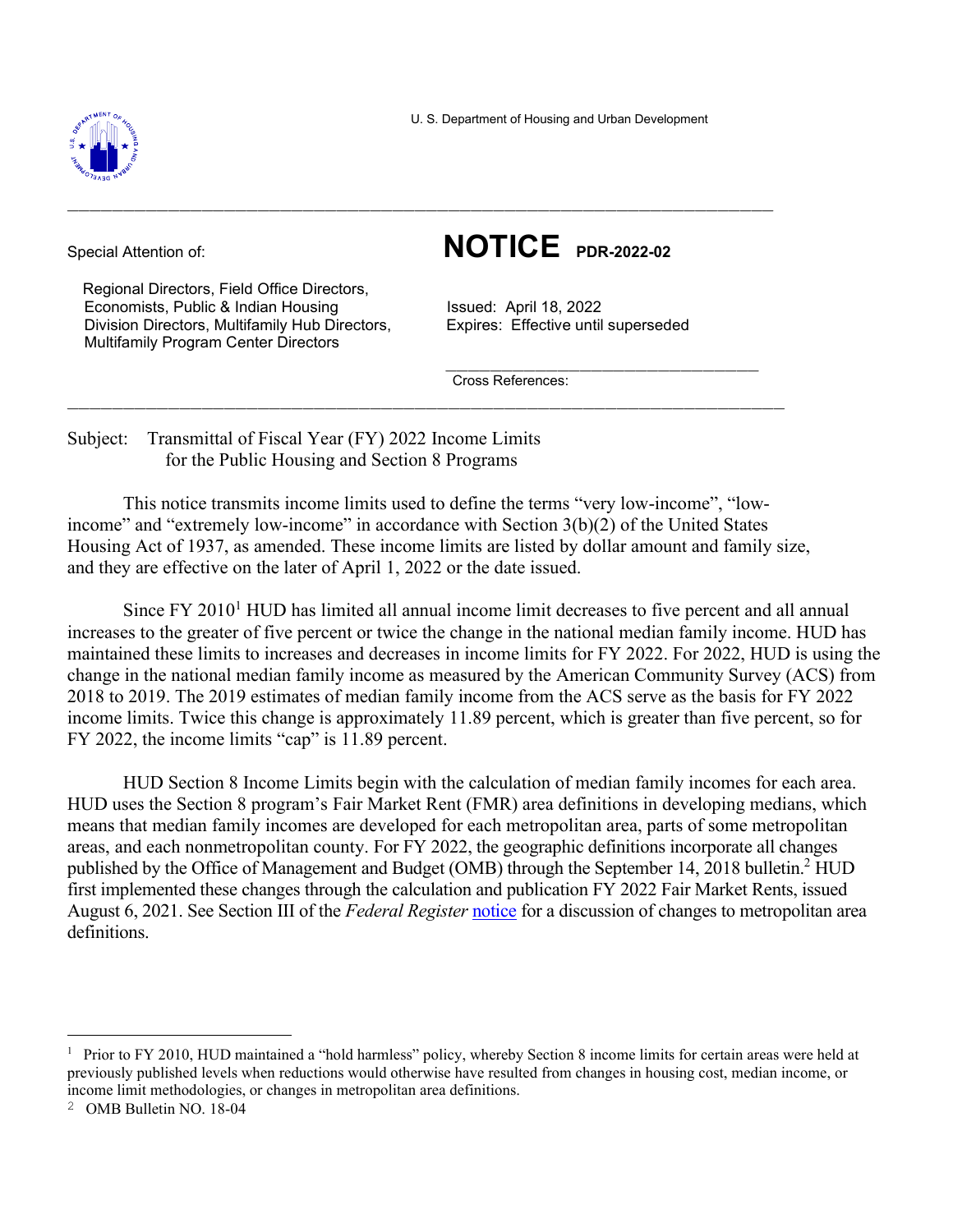

U. S. Department of Housing and Urban Development

 Regional Directors, Field Office Directors, Economists, Public & Indian Housing **Issued: April 18, 2022** Division Directors, Multifamily Hub Directors, Expires: Effective until superseded Multifamily Program Center Directors

Special Attention of: **NOTICE PDR-2022-02**

Cross References:

Subject: Transmittal of Fiscal Year (FY) 2022 Income Limits for the Public Housing and Section 8 Programs

This notice transmits income limits used to define the terms "very low-income", "lowincome" and "extremely low-income" in accordance with Section  $3(b)(2)$  of the United States Housing Act of 1937, as amended. These income limits are listed by dollar amount and family size, and they are effective on the later of April 1, 2022 or the date issued.

 $\_$  , and the contribution of the contribution of  $\mathcal{L}_\mathcal{A}$  , and the contribution of  $\mathcal{L}_\mathcal{A}$  , and

 $\mathcal{L}_\mathcal{L} = \{ \mathcal{L}_\mathcal{L} \mid \mathcal{L}_\mathcal{L} \in \mathcal{L}_\mathcal{L} \}$  , where  $\mathcal{L}_\mathcal{L} = \{ \mathcal{L}_\mathcal{L} \mid \mathcal{L}_\mathcal{L} \in \mathcal{L}_\mathcal{L} \}$ 

 $\mathcal{L}_\text{max}$  , and the set of the set of the set of the set of the set of the set of the set of the set of the set of the set of the set of the set of the set of the set of the set of the set of the set of the set of the

Since  $FY$  2010<sup>1</sup> HUD has limited all annual income limit decreases to five percent and all annual increases to the greater of five percent or twice the change in the national median family income. HUD has maintained these limits to increases and decreases in income limits for FY 2022. For 2022, HUD is using the change in the national median family income as measured by the American Community Survey (ACS) from 2018 to 2019. The 2019 estimates of median family income from the ACS serve as the basis for FY 2022 income limits. Twice this change is approximately 11.89 percent, which is greater than five percent, so for FY 2022, the income limits "cap" is 11.89 percent.

HUD Section 8 Income Limits begin with the calculation of median family incomes for each area. HUD uses the Section 8 program's Fair Market Rent (FMR) area definitions in developing medians, which means that median family incomes are developed for each metropolitan area, parts of some metropolitan areas, and each nonmetropolitan county. For FY 2022, the geographic definitions incorporate all changes published by the Office of Management and Budget (OMB) through the September 14, 2018 bulletin.<sup>2</sup> HUD first implemented these changes through the calculation and publication FY 2022 Fair Market Rents, issued August 6, 2021. See Section III of the *Federal Register* notice for a discussion of changes to metropolitan area definitions.

<sup>&</sup>lt;sup>1</sup> Prior to FY 2010, HUD maintained a "hold harmless" policy, whereby Section 8 income limits for certain areas were held at previously published levels when reductions would otherwise have resulted from changes in housing cost, median income, or income limit methodologies, or changes in metropolitan area definitions.

<sup>2</sup> OMB Bulletin NO. 18-04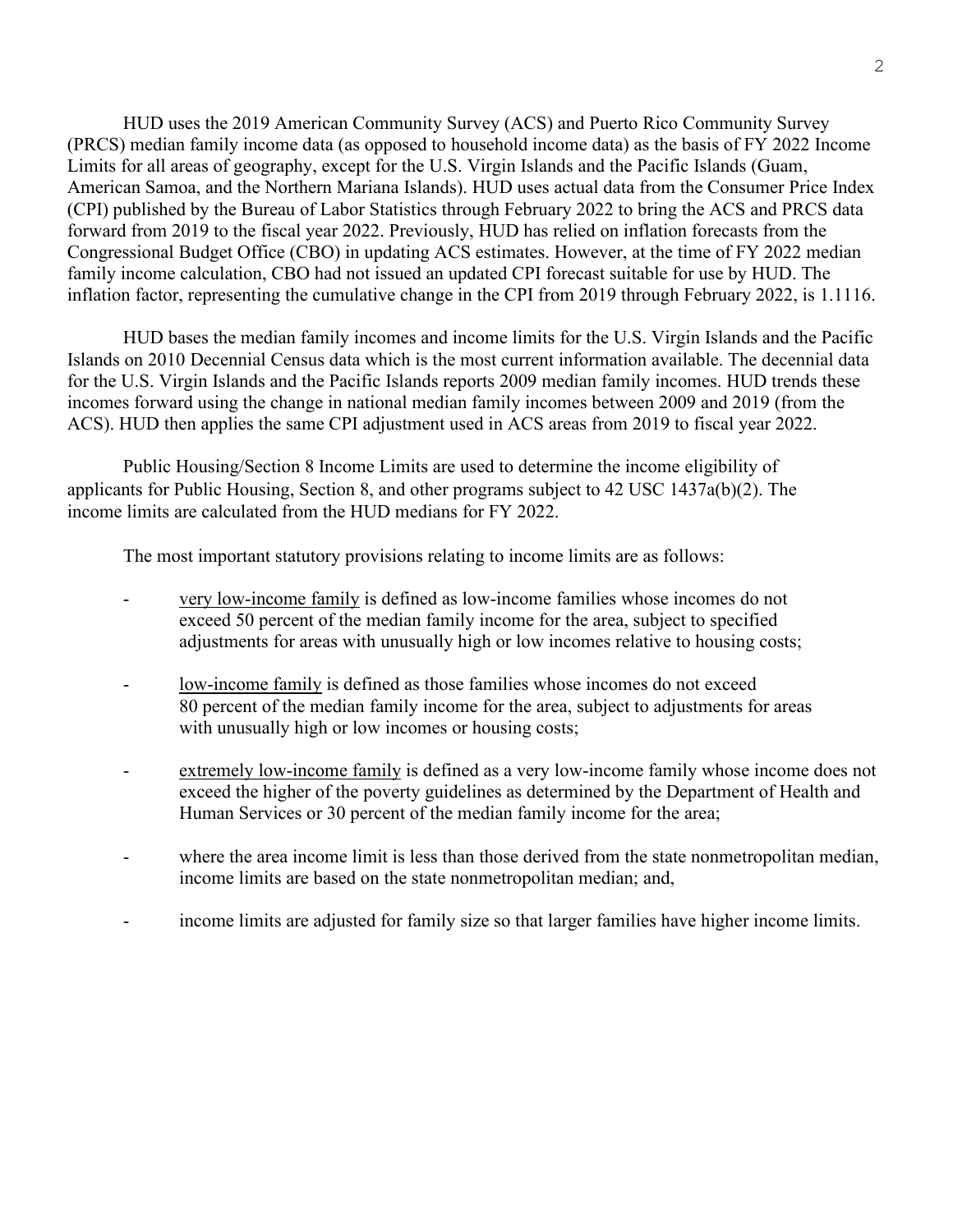HUD uses the 2019 American Community Survey (ACS) and Puerto Rico Community Survey (PRCS) median family income data (as opposed to household income data) as the basis of FY 2022 Income Limits for all areas of geography, except for the U.S. Virgin Islands and the Pacific Islands (Guam, American Samoa, and the Northern Mariana Islands). HUD uses actual data from the Consumer Price Index (CPI) published by the Bureau of Labor Statistics through February 2022 to bring the ACS and PRCS data forward from 2019 to the fiscal year 2022. Previously, HUD has relied on inflation forecasts from the Congressional Budget Office (CBO) in updating ACS estimates. However, at the time of FY 2022 median family income calculation, CBO had not issued an updated CPI forecast suitable for use by HUD. The inflation factor, representing the cumulative change in the CPI from 2019 through February 2022, is 1.1116.

HUD bases the median family incomes and income limits for the U.S. Virgin Islands and the Pacific Islands on 2010 Decennial Census data which is the most current information available. The decennial data for the U.S. Virgin Islands and the Pacific Islands reports 2009 median family incomes. HUD trends these incomes forward using the change in national median family incomes between 2009 and 2019 (from the ACS). HUD then applies the same CPI adjustment used in ACS areas from 2019 to fiscal year 2022.

Public Housing/Section 8 Income Limits are used to determine the income eligibility of applicants for Public Housing, Section 8, and other programs subject to 42 USC 1437a(b)(2). The income limits are calculated from the HUD medians for FY 2022.

The most important statutory provisions relating to income limits are as follows:

- very low-income family is defined as low-income families whose incomes do not exceed 50 percent of the median family income for the area, subject to specified adjustments for areas with unusually high or low incomes relative to housing costs;
- low-income family is defined as those families whose incomes do not exceed 80 percent of the median family income for the area, subject to adjustments for areas with unusually high or low incomes or housing costs;
- extremely low-income family is defined as a very low-income family whose income does not exceed the higher of the poverty guidelines as determined by the Department of Health and Human Services or 30 percent of the median family income for the area;
- where the area income limit is less than those derived from the state nonmetropolitan median, income limits are based on the state nonmetropolitan median; and,
- income limits are adjusted for family size so that larger families have higher income limits.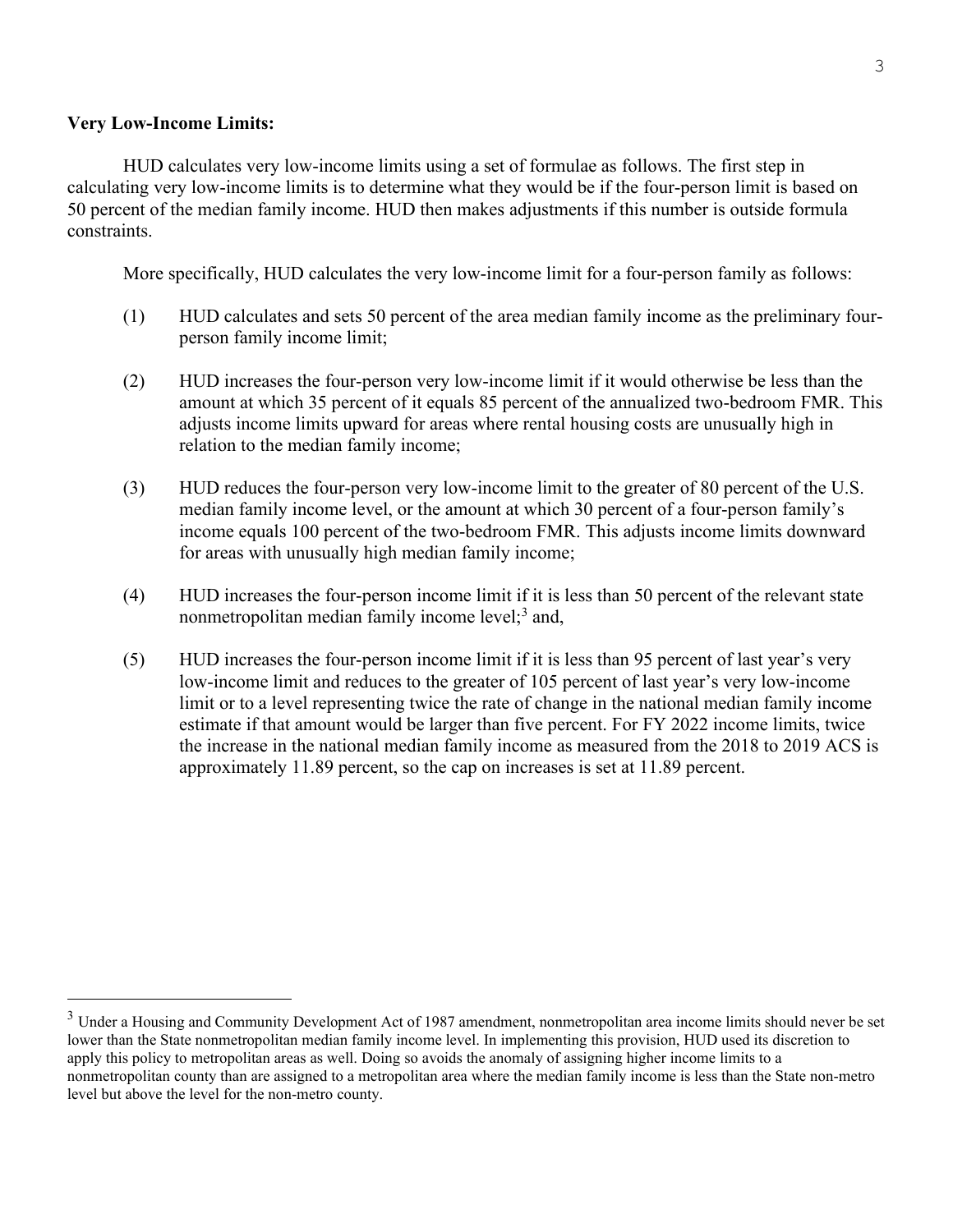## **Very Low-Income Limits:**

HUD calculates very low-income limits using a set of formulae as follows. The first step in calculating very low-income limits is to determine what they would be if the four-person limit is based on 50 percent of the median family income. HUD then makes adjustments if this number is outside formula constraints.

More specifically, HUD calculates the very low-income limit for a four-person family as follows:

- (1) HUD calculates and sets 50 percent of the area median family income as the preliminary fourperson family income limit;
- (2) HUD increases the four-person very low-income limit if it would otherwise be less than the amount at which 35 percent of it equals 85 percent of the annualized two-bedroom FMR. This adjusts income limits upward for areas where rental housing costs are unusually high in relation to the median family income;
- (3) HUD reduces the four-person very low-income limit to the greater of 80 percent of the U.S. median family income level, or the amount at which 30 percent of a four-person family's income equals 100 percent of the two-bedroom FMR. This adjusts income limits downward for areas with unusually high median family income;
- (4) HUD increases the four-person income limit if it is less than 50 percent of the relevant state nonmetropolitan median family income level;<sup>3</sup> and,
- (5) HUD increases the four-person income limit if it is less than 95 percent of last year's very low-income limit and reduces to the greater of 105 percent of last year's very low-income limit or to a level representing twice the rate of change in the national median family income estimate if that amount would be larger than five percent. For FY 2022 income limits, twice the increase in the national median family income as measured from the 2018 to 2019 ACS is approximately 11.89 percent, so the cap on increases is set at 11.89 percent.

 $3$  Under a Housing and Community Development Act of 1987 amendment, nonmetropolitan area income limits should never be set lower than the State nonmetropolitan median family income level. In implementing this provision, HUD used its discretion to apply this policy to metropolitan areas as well. Doing so avoids the anomaly of assigning higher income limits to a nonmetropolitan county than are assigned to a metropolitan area where the median family income is less than the State non-metro level but above the level for the non-metro county.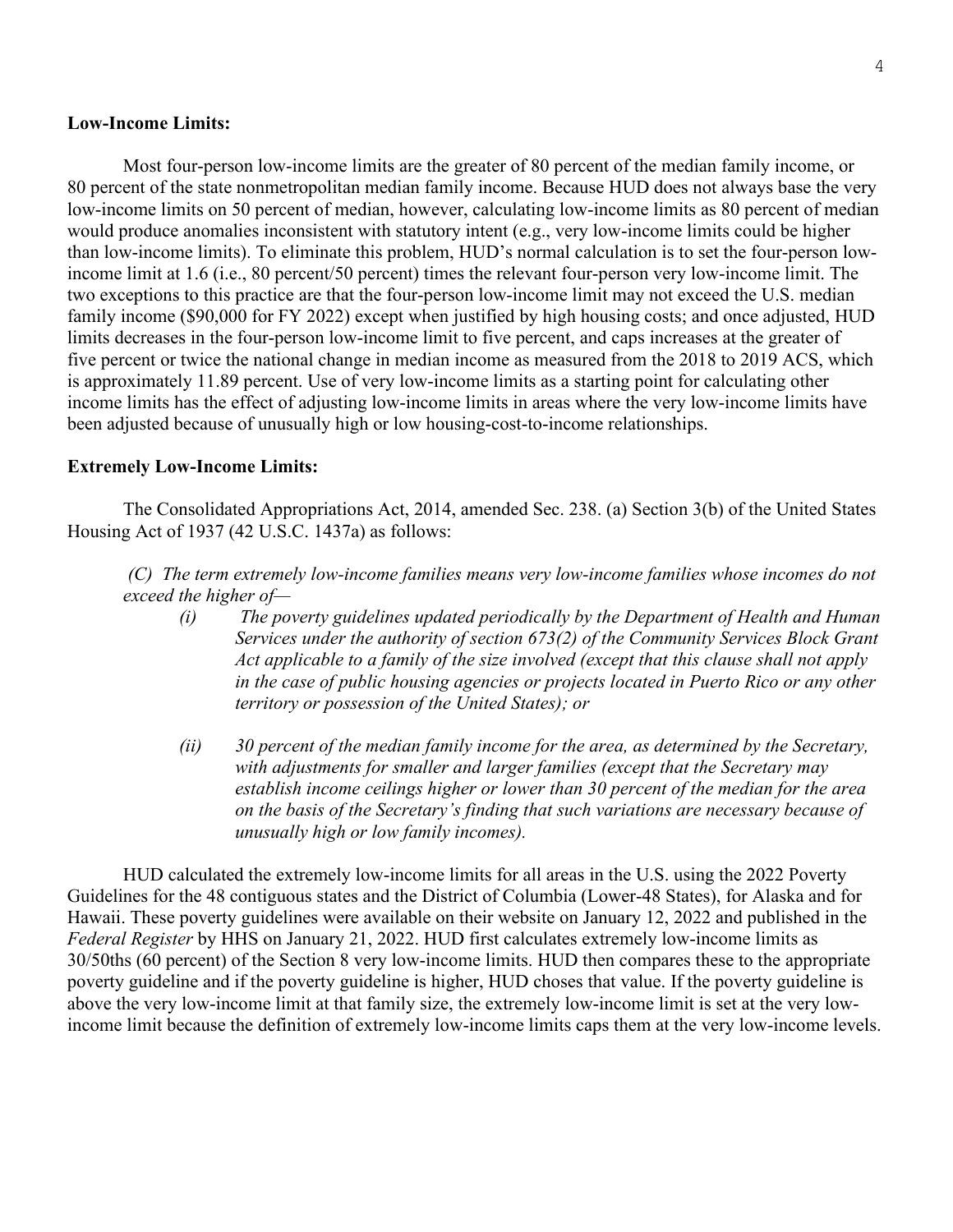## **Low-Income Limits:**

Most four-person low-income limits are the greater of 80 percent of the median family income, or 80 percent of the state nonmetropolitan median family income. Because HUD does not always base the very low-income limits on 50 percent of median, however, calculating low-income limits as 80 percent of median would produce anomalies inconsistent with statutory intent (e.g., very low-income limits could be higher than low-income limits). To eliminate this problem, HUD's normal calculation is to set the four-person lowincome limit at 1.6 (i.e., 80 percent/50 percent) times the relevant four-person very low-income limit. The two exceptions to this practice are that the four-person low-income limit may not exceed the U.S. median family income (\$90,000 for FY 2022) except when justified by high housing costs; and once adjusted, HUD limits decreases in the four-person low-income limit to five percent, and caps increases at the greater of five percent or twice the national change in median income as measured from the 2018 to 2019 ACS, which is approximately 11.89 percent. Use of very low-income limits as a starting point for calculating other income limits has the effect of adjusting low-income limits in areas where the very low-income limits have been adjusted because of unusually high or low housing-cost-to-income relationships.

## **Extremely Low-Income Limits:**

The Consolidated Appropriations Act, 2014, amended Sec. 238. (a) Section 3(b) of the United States Housing Act of 1937 (42 U.S.C. 1437a) as follows:

*(C) The term extremely low-income families means very low-income families whose incomes do not exceed the higher of—* 

- *(i) The poverty guidelines updated periodically by the Department of Health and Human Services under the authority of section 673(2) of the Community Services Block Grant Act applicable to a family of the size involved (except that this clause shall not apply in the case of public housing agencies or projects located in Puerto Rico or any other territory or possession of the United States); or*
- *(ii) 30 percent of the median family income for the area, as determined by the Secretary, with adjustments for smaller and larger families (except that the Secretary may establish income ceilings higher or lower than 30 percent of the median for the area on the basis of the Secretary's finding that such variations are necessary because of unusually high or low family incomes).*

HUD calculated the extremely low-income limits for all areas in the U.S. using the 2022 Poverty Guidelines for the 48 contiguous states and the District of Columbia (Lower-48 States), for Alaska and for Hawaii. These poverty guidelines were available on their website on January 12, 2022 and published in the *Federal Register* by HHS on January 21, 2022. HUD first calculates extremely low-income limits as 30/50ths (60 percent) of the Section 8 very low-income limits. HUD then compares these to the appropriate poverty guideline and if the poverty guideline is higher, HUD choses that value. If the poverty guideline is above the very low-income limit at that family size, the extremely low-income limit is set at the very lowincome limit because the definition of extremely low-income limits caps them at the very low-income levels.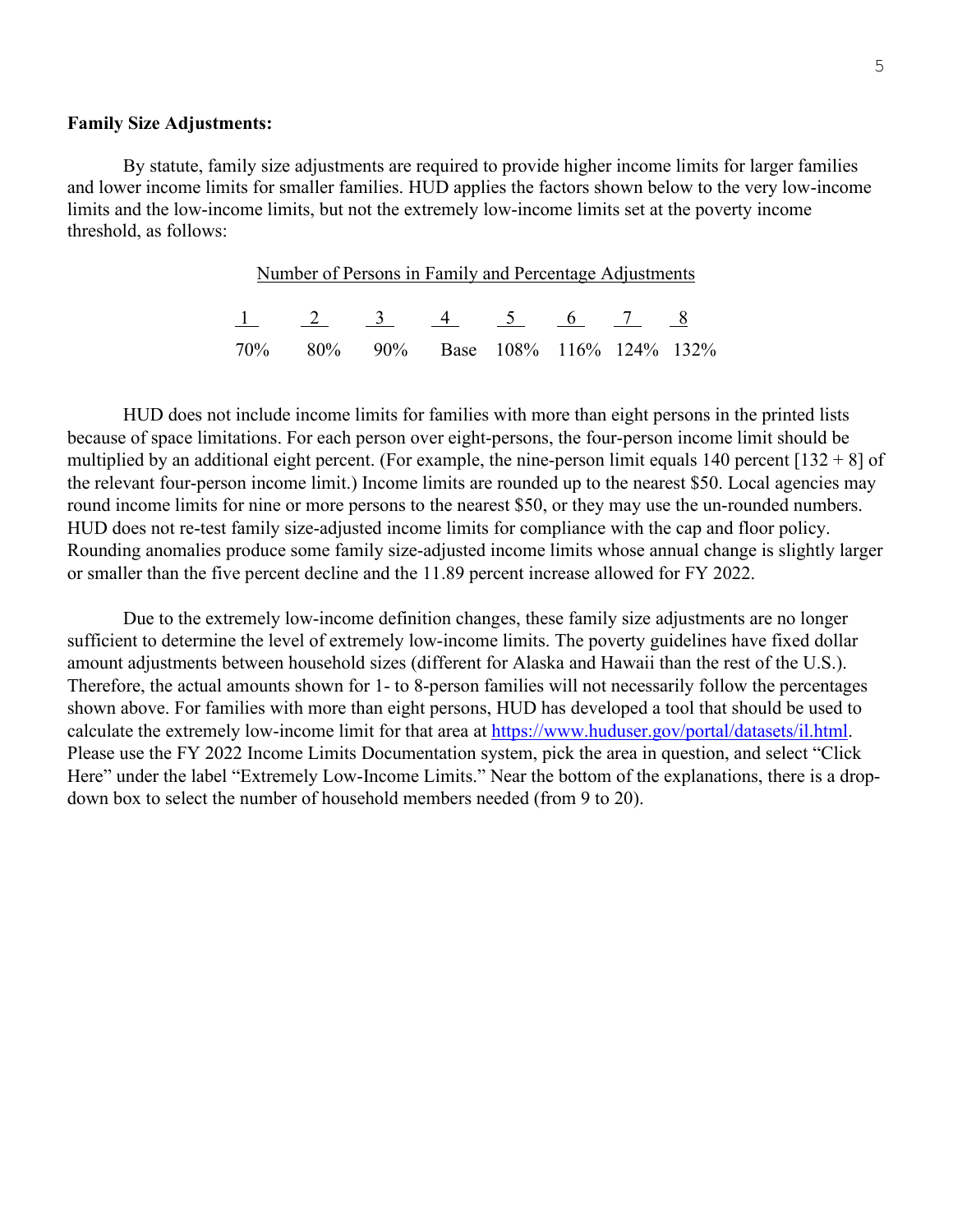## **Family Size Adjustments:**

By statute, family size adjustments are required to provide higher income limits for larger families and lower income limits for smaller families. HUD applies the factors shown below to the very low-income limits and the low-income limits, but not the extremely low-income limits set at the poverty income threshold, as follows:

| Number of Persons in Family and Percentage Adjustments |                                      |  |  |  |  |  |  |
|--------------------------------------------------------|--------------------------------------|--|--|--|--|--|--|
|                                                        | $1 \t2 \t3 \t4 \t5 \t6 \t7 \t8$      |  |  |  |  |  |  |
|                                                        | 70% 80% 90% Base 108% 116% 124% 132% |  |  |  |  |  |  |

HUD does not include income limits for families with more than eight persons in the printed lists because of space limitations. For each person over eight-persons, the four-person income limit should be multiplied by an additional eight percent. (For example, the nine-person limit equals 140 percent  $[132 + 8]$  of the relevant four-person income limit.) Income limits are rounded up to the nearest \$50. Local agencies may round income limits for nine or more persons to the nearest \$50, or they may use the un-rounded numbers. HUD does not re-test family size-adjusted income limits for compliance with the cap and floor policy. Rounding anomalies produce some family size-adjusted income limits whose annual change is slightly larger or smaller than the five percent decline and the 11.89 percent increase allowed for FY 2022.

Due to the extremely low-income definition changes, these family size adjustments are no longer sufficient to determine the level of extremely low-income limits. The poverty guidelines have fixed dollar amount adjustments between household sizes (different for Alaska and Hawaii than the rest of the U.S.). Therefore, the actual amounts shown for 1- to 8-person families will not necessarily follow the percentages shown above. For families with more than eight persons, HUD has developed a tool that should be used to calculate the extremely low-income limit for that area at https://www.huduser.gov/portal/datasets/il.html. Please use the FY 2022 Income Limits Documentation system, pick the area in question, and select "Click Here" under the label "Extremely Low-Income Limits." Near the bottom of the explanations, there is a dropdown box to select the number of household members needed (from 9 to 20).